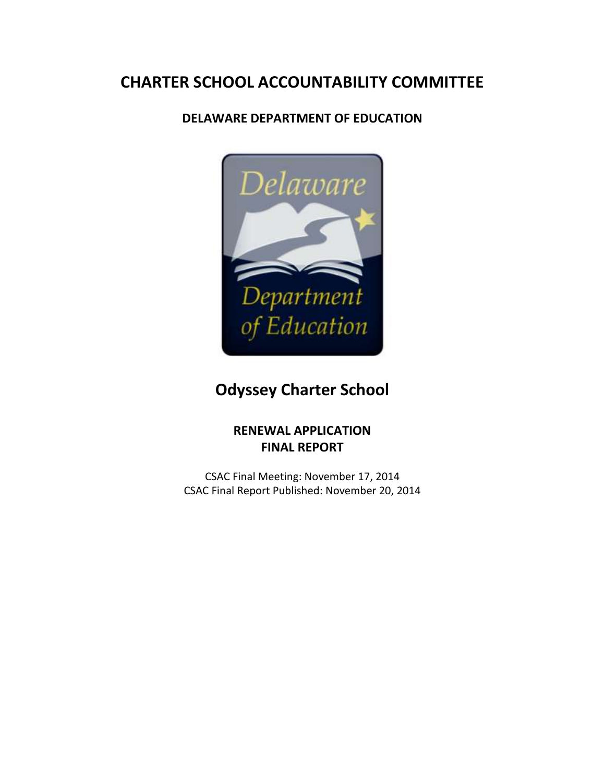# **CHARTER SCHOOL ACCOUNTABILITY COMMITTEE**

### **DELAWARE DEPARTMENT OF EDUCATION**



# **Odyssey Charter School**

### **RENEWAL APPLICATION FINAL REPORT**

CSAC Final Meeting: November 17, 2014 CSAC Final Report Published: November 20, 2014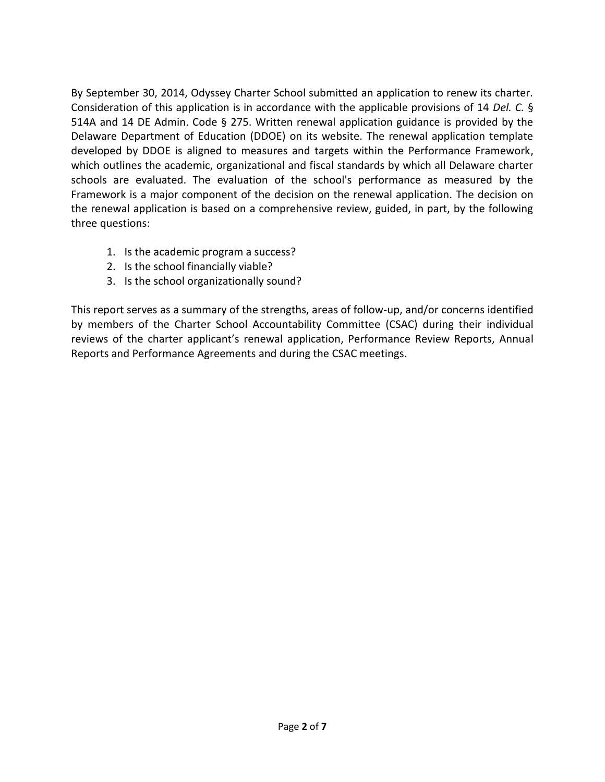By September 30, 2014, Odyssey Charter School submitted an application to renew its charter. Consideration of this application is in accordance with the applicable provisions of 14 *Del. C.* § 514A and 14 DE Admin. Code § 275. Written renewal application guidance is provided by the Delaware Department of Education (DDOE) on its website. The renewal application template developed by DDOE is aligned to measures and targets within the Performance Framework, which outlines the academic, organizational and fiscal standards by which all Delaware charter schools are evaluated. The evaluation of the school's performance as measured by the Framework is a major component of the decision on the renewal application. The decision on the renewal application is based on a comprehensive review, guided, in part, by the following three questions:

- 1. Is the academic program a success?
- 2. Is the school financially viable?
- 3. Is the school organizationally sound?

This report serves as a summary of the strengths, areas of follow-up, and/or concerns identified by members of the Charter School Accountability Committee (CSAC) during their individual reviews of the charter applicant's renewal application, Performance Review Reports, Annual Reports and Performance Agreements and during the CSAC meetings.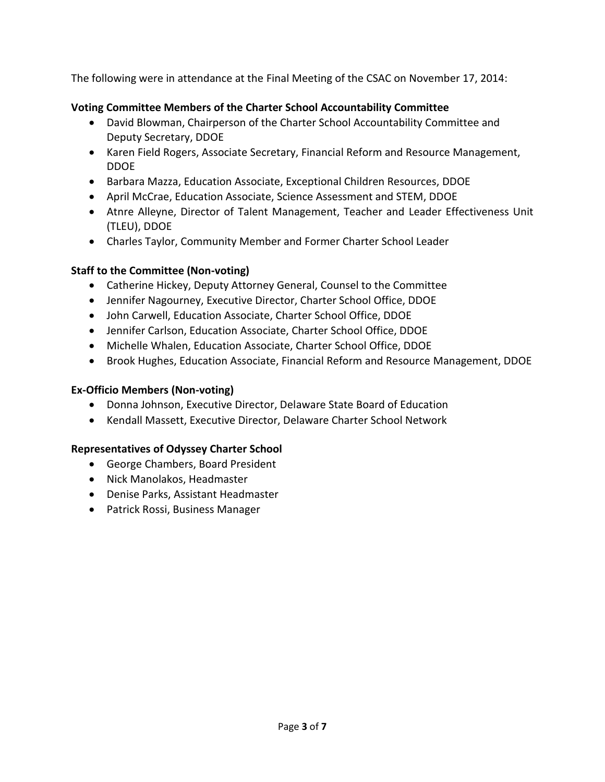The following were in attendance at the Final Meeting of the CSAC on November 17, 2014:

#### **Voting Committee Members of the Charter School Accountability Committee**

- David Blowman, Chairperson of the Charter School Accountability Committee and Deputy Secretary, DDOE
- Karen Field Rogers, Associate Secretary, Financial Reform and Resource Management, DDOE
- Barbara Mazza, Education Associate, Exceptional Children Resources, DDOE
- April McCrae, Education Associate, Science Assessment and STEM, DDOE
- Atnre Alleyne, Director of Talent Management, Teacher and Leader Effectiveness Unit (TLEU), DDOE
- Charles Taylor, Community Member and Former Charter School Leader

#### **Staff to the Committee (Non-voting)**

- Catherine Hickey, Deputy Attorney General, Counsel to the Committee
- Jennifer Nagourney, Executive Director, Charter School Office, DDOE
- John Carwell, Education Associate, Charter School Office, DDOE
- Jennifer Carlson, Education Associate, Charter School Office, DDOE
- Michelle Whalen, Education Associate, Charter School Office, DDOE
- **Brook Hughes, Education Associate, Financial Reform and Resource Management, DDOE**

#### **Ex-Officio Members (Non-voting)**

- Donna Johnson, Executive Director, Delaware State Board of Education
- Kendall Massett, Executive Director, Delaware Charter School Network

#### **Representatives of Odyssey Charter School**

- George Chambers, Board President
- Nick Manolakos, Headmaster
- Denise Parks, Assistant Headmaster
- Patrick Rossi, Business Manager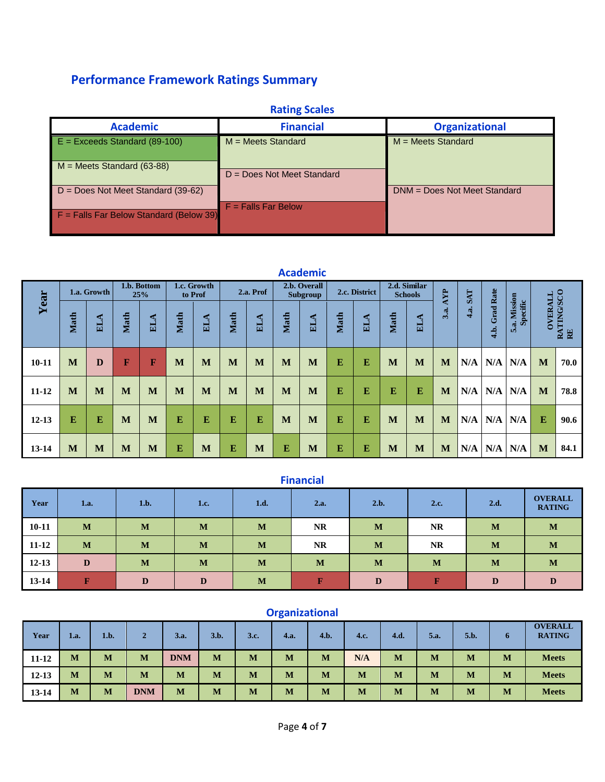## **Performance Framework Ratings Summary**

| <b>Rating Scales</b>                      |                              |                              |  |  |  |  |  |  |  |  |  |
|-------------------------------------------|------------------------------|------------------------------|--|--|--|--|--|--|--|--|--|
| <b>Academic</b>                           | <b>Financial</b>             | <b>Organizational</b>        |  |  |  |  |  |  |  |  |  |
| $E = Exceeds Standard (89-100)$           | $M = Meets$ Standard         | $M = Meets$ Standard         |  |  |  |  |  |  |  |  |  |
| $M =$ Meets Standard (63-88)              | $D = Does Not Meet Standard$ |                              |  |  |  |  |  |  |  |  |  |
| $D = Does Not Meet Standard (39-62)$      |                              | DNM = Does Not Meet Standard |  |  |  |  |  |  |  |  |  |
| $F =$ Falls Far Below Standard (Below 39) | $F =$ Falls Far Below        |                              |  |  |  |  |  |  |  |  |  |

| <b>Academic</b> |             |     |                                              |            |      |            |              |                          |      |               |      |                                |      |     |            |     |                          |                          |                                    |      |
|-----------------|-------------|-----|----------------------------------------------|------------|------|------------|--------------|--------------------------|------|---------------|------|--------------------------------|------|-----|------------|-----|--------------------------|--------------------------|------------------------------------|------|
|                 | 1.a. Growth |     | 1.b. Bottom<br>1.c. Growth<br>25%<br>to Prof |            |      | 2.a. Prof  |              | 2.b. Overall<br>Subgroup |      | 2.c. District |      | 2.d. Similar<br><b>Schools</b> |      | AYP | <b>SAT</b> |     |                          |                          |                                    |      |
| Year            | Math        | ELA | Math                                         | <b>ELA</b> | Math | <b>ELA</b> | Math         | ELA                      | Math | ELA           | Math | <b>ELA</b>                     | Math | ELA | 3.a.       | 4a. | <b>Grad Rate</b><br>4.b. | 5.a. Mission<br>Specific | RATING/SCO<br><b>OVERALL</b><br>RE |      |
| $10 - 11$       | M           | D   | $\mathbf F$                                  | F          | M    | M          | M            | M                        | M    | M             | E    | E                              | M    | M   | M          | N/A | N/A                      | N/A                      | M                                  | 70.0 |
| $11 - 12$       | M           | M   | M                                            | M          | M    | M          | M            | M                        | M    | M             | E    | E                              | E    | E   | M          | N/A | N/A                      | N/A                      | M                                  | 78.8 |
| $12 - 13$       | E           | E   | M                                            | M          | E    | E          | ${\bf E}$    | $\bf{E}$                 | M    | M             | E    | E                              | M    | M   | M          | N/A | N/A                      | N/A                      | E                                  | 90.6 |
| $13 - 14$       | M           | M   | M                                            | M          | E    | M          | $\mathbf{E}$ | M                        | E    | M             | E    | E                              | M    | M   | M          | N/A | N/A                      | N/A                      | M                                  | 84.1 |

| <b>Financial</b> |              |      |      |      |              |      |           |      |                                 |  |  |  |
|------------------|--------------|------|------|------|--------------|------|-----------|------|---------------------------------|--|--|--|
| Year             | 1.a.         | 1.b. | 1.c. | 1.d. | 2.a.         | 2.b. | 2.c.      | 2.d. | <b>OVERALL</b><br><b>RATING</b> |  |  |  |
| $10 - 11$        | M            | M    | M    | M    | <b>NR</b>    | M    | <b>NR</b> | M    | M                               |  |  |  |
| $11 - 12$        | M            | M    | M    | M    | <b>NR</b>    | M    | <b>NR</b> | M    | M                               |  |  |  |
| $12 - 13$        | D            | M    | M    | M    | M            | M    | M         | M    | M                               |  |  |  |
| 13-14            | $\mathbf{F}$ | D    | D    | M    | $\mathbf{F}$ | D    | F         | D    | D                               |  |  |  |

|           | <b>Organizational</b> |      |            |            |      |      |      |      |      |      |      |      |   |                                 |
|-----------|-----------------------|------|------------|------------|------|------|------|------|------|------|------|------|---|---------------------------------|
| Year      | 1.a.                  | 1.b. | 2          | 3.a.       | 3.b. | 3.c. | 4.a. | 4.b. | 4.c. | 4.d. | 5.a. | 5.b. | o | <b>OVERALL</b><br><b>RATING</b> |
| 11-12     | M                     | M    | M          | <b>DNM</b> | M    | M    | M    | M    | N/A  | M    | M    | M    | M | <b>Meets</b>                    |
| $12 - 13$ | M                     | M    | M          | M          | M    | M    | M    | M    | M    | M    | M    | M    | M | <b>Meets</b>                    |
| 13-14     | M                     | M    | <b>DNM</b> | M          | M    | M    | M    | M    | M    | M    | M    | M    | M | <b>Meets</b>                    |

## **Organizational**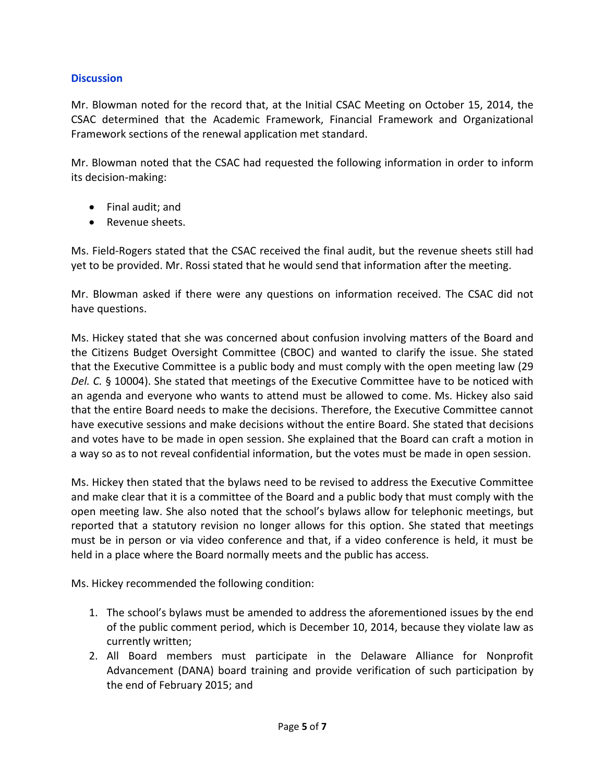#### **Discussion**

Mr. Blowman noted for the record that, at the Initial CSAC Meeting on October 15, 2014, the CSAC determined that the Academic Framework, Financial Framework and Organizational Framework sections of the renewal application met standard.

Mr. Blowman noted that the CSAC had requested the following information in order to inform its decision-making:

- Final audit; and
- Revenue sheets.

Ms. Field-Rogers stated that the CSAC received the final audit, but the revenue sheets still had yet to be provided. Mr. Rossi stated that he would send that information after the meeting.

Mr. Blowman asked if there were any questions on information received. The CSAC did not have questions.

Ms. Hickey stated that she was concerned about confusion involving matters of the Board and the Citizens Budget Oversight Committee (CBOC) and wanted to clarify the issue. She stated that the Executive Committee is a public body and must comply with the open meeting law (29 *Del. C.* § 10004). She stated that meetings of the Executive Committee have to be noticed with an agenda and everyone who wants to attend must be allowed to come. Ms. Hickey also said that the entire Board needs to make the decisions. Therefore, the Executive Committee cannot have executive sessions and make decisions without the entire Board. She stated that decisions and votes have to be made in open session. She explained that the Board can craft a motion in a way so as to not reveal confidential information, but the votes must be made in open session.

Ms. Hickey then stated that the bylaws need to be revised to address the Executive Committee and make clear that it is a committee of the Board and a public body that must comply with the open meeting law. She also noted that the school's bylaws allow for telephonic meetings, but reported that a statutory revision no longer allows for this option. She stated that meetings must be in person or via video conference and that, if a video conference is held, it must be held in a place where the Board normally meets and the public has access.

Ms. Hickey recommended the following condition:

- 1. The school's bylaws must be amended to address the aforementioned issues by the end of the public comment period, which is December 10, 2014, because they violate law as currently written;
- 2. All Board members must participate in the Delaware Alliance for Nonprofit Advancement (DANA) board training and provide verification of such participation by the end of February 2015; and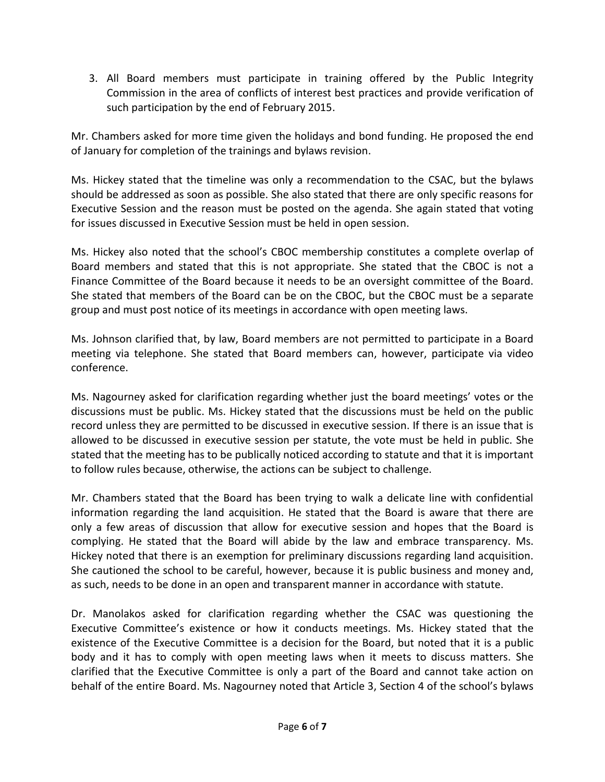3. All Board members must participate in training offered by the Public Integrity Commission in the area of conflicts of interest best practices and provide verification of such participation by the end of February 2015.

Mr. Chambers asked for more time given the holidays and bond funding. He proposed the end of January for completion of the trainings and bylaws revision.

Ms. Hickey stated that the timeline was only a recommendation to the CSAC, but the bylaws should be addressed as soon as possible. She also stated that there are only specific reasons for Executive Session and the reason must be posted on the agenda. She again stated that voting for issues discussed in Executive Session must be held in open session.

Ms. Hickey also noted that the school's CBOC membership constitutes a complete overlap of Board members and stated that this is not appropriate. She stated that the CBOC is not a Finance Committee of the Board because it needs to be an oversight committee of the Board. She stated that members of the Board can be on the CBOC, but the CBOC must be a separate group and must post notice of its meetings in accordance with open meeting laws.

Ms. Johnson clarified that, by law, Board members are not permitted to participate in a Board meeting via telephone. She stated that Board members can, however, participate via video conference.

Ms. Nagourney asked for clarification regarding whether just the board meetings' votes or the discussions must be public. Ms. Hickey stated that the discussions must be held on the public record unless they are permitted to be discussed in executive session. If there is an issue that is allowed to be discussed in executive session per statute, the vote must be held in public. She stated that the meeting has to be publically noticed according to statute and that it is important to follow rules because, otherwise, the actions can be subject to challenge.

Mr. Chambers stated that the Board has been trying to walk a delicate line with confidential information regarding the land acquisition. He stated that the Board is aware that there are only a few areas of discussion that allow for executive session and hopes that the Board is complying. He stated that the Board will abide by the law and embrace transparency. Ms. Hickey noted that there is an exemption for preliminary discussions regarding land acquisition. She cautioned the school to be careful, however, because it is public business and money and, as such, needs to be done in an open and transparent manner in accordance with statute.

Dr. Manolakos asked for clarification regarding whether the CSAC was questioning the Executive Committee's existence or how it conducts meetings. Ms. Hickey stated that the existence of the Executive Committee is a decision for the Board, but noted that it is a public body and it has to comply with open meeting laws when it meets to discuss matters. She clarified that the Executive Committee is only a part of the Board and cannot take action on behalf of the entire Board. Ms. Nagourney noted that Article 3, Section 4 of the school's bylaws